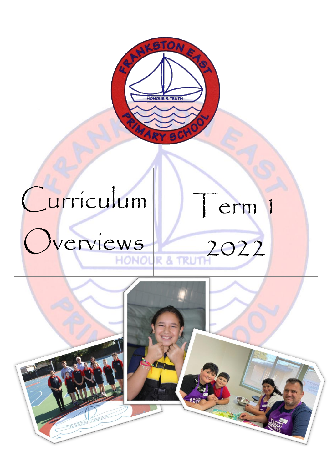

# Curriculum

# Overviews L



Term 1

2022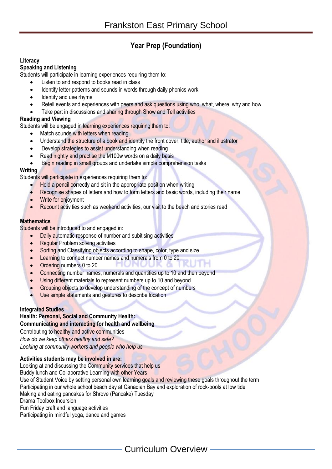# **Year Prep (Foundation)**

# **Literacy**

# **Speaking and Listening**

Students will participate in learning experiences requiring them to:

- Listen to and respond to books read in class
- Identify letter patterns and sounds in words through daily phonics work
- Identify and use rhyme
- Retell events and experiences with peers and ask questions using who, what, where, why and how
- Take part in discussions and sharing through Show and Tell activities

# **Reading and Viewing**

Students will be engaged in learning experiences requiring them to:

- Match sounds with letters when reading
- Understand the structure of a book and identify the front cover, title, author and illustrator
- Develop strategies to assist understanding when reading
- Read nightly and practise the M100w words on a daily basis
- Begin reading in small groups and undertake simple comprehension tasks

# **Writing**

Students will participate in experiences requiring them to:

- Hold a pencil correctly and sit in the appropriate position when writing
- Recognise shapes of letters and how to form letters and basic words, including their name
- Write for enjoyment
- Recount activities such as weekend activities, our visit to the beach and stories read

# **Mathematics**

Students will be introduced to and engaged in:

- Daily automatic response of number and subitising activities
- Regular Problem solving activities
- Sorting and Classifying objects according to shape, color, type and size
- **Learning to connect number names and numerals from 0 to 20**
- Ordering numbers 0 to 20
- Connecting number names, numerals and quantities up to 10 and then beyond
- Using different materials to represent numbers up to 10 and beyond
- Grouping objects to develop understanding of the concept of numbers
- Use simple statements and gestures to describe location

# **Integrated Studies**

**Health: Personal, Social and Community Health: Communicating and interacting for health and wellbeing**  Contributing to healthy and active communities *How do we keep others healthy and safe? Looking at community workers and people who help us.* 

# **Activities students may be involved in are:**

Looking at and discussing the Community services that help us Buddy lunch and Collaborative Learning with other Years Use of Student Voice by setting personal own learning goals and reviewing these goals throughout the term Participating in our whole school beach day at Canadian Bay and exploration of rock-pools at low tide Making and eating pancakes for Shrove (Pancake) Tuesday Drama Toolbox Incursion Fun Friday craft and language activities Participating in mindful yoga, dance and games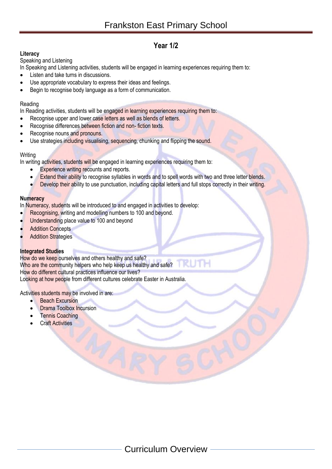# **Year 1/2**

# **Literacy**

# Speaking and Listening

In Speaking and Listening activities, students will be engaged in learning experiences requiring them to:

- Listen and take turns in discussions.
- Use appropriate vocabulary to express their ideas and feelings.
- Begin to recognise body language as a form of communication.

# Reading

In Reading activities, students will be engaged in learning experiences requiring them to:

- Recognise upper and lower case letters as well as blends of letters.
- Recognise differences between fiction and non- fiction texts.
- Recognise nouns and pronouns.
- Use strategies including visualising, sequencing, chunking and flipping the sound.

# **Writing**

In writing activities, students will be engaged in learning experiences requiring them to:

- **Experience writing recounts and reports.**
- Extend their ability to recognise syllables in words and to spell words with two and three letter blends.
- Develop their ability to use punctuation, including capital letters and full stops correctly in their writing.

# **Numeracy**

In Numeracy, students will be introduced to and engaged in activities to develop:

- Recognising, writing and modelling numbers to 100 and beyond.
- Understanding place value to 100 and beyond
- **Addition Concepts**
- **Addition Strategies**

# **Integrated Studies**

How do we keep ourselves and others healthy and safe? Who are the community helpers who help keep us healthy and safe? How do different cultural practices influence our lives? Looking at how people from different cultures celebrate Easter in Australia.

Activities students may be involved in are:

- **Beach Excursion**
- **Drama Toolbox Incursion**
- Tennis Coaching
- Craft Activities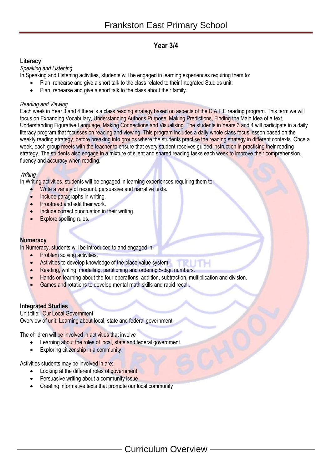# **Year 3/4**

# **Literacy**

*Speaking and Listening*

In Speaking and Listening activities, students will be engaged in learning experiences requiring them to:

- Plan, rehearse and give a short talk to the class related to their Integrated Studies unit.
- Plan, rehearse and give a short talk to the class about their family.

# *Reading and Viewing*

Each week in Year 3 and 4 there is a class reading strategy based on aspects of the C.A.F.E reading program. This term we will focus on Expanding Vocabulary, Understanding Author's Purpose, Making Predictions, Finding the Main Idea of a text, Understanding Figurative Language, Making Connections and Visualising. The students in Years 3 and 4 will participate in a daily literacy program that focusses on reading and viewing. This program includes a daily whole class focus lesson based on the weekly reading strategy, before breaking into groups where the students practise the reading strategy in different contexts. Once a week, each group meets with the teacher to ensure that every student receives guided instruction in practising their reading strategy. The students also engage in a mixture of silent and shared reading tasks each week to improve their comprehension, fluency and accuracy when reading.

# *Writing*

In Writing activities, students will be engaged in learning experiences requiring them to:

- Write a variety of recount, persuasive and narrative texts.
- Include paragraphs in writing.
- Proofread and edit their work.
- **Include correct punctuation in their writing.**
- Explore spelling rules.

# **Numeracy**

In Numeracy, students will be introduced to and engaged in:

- Problem solving activities.
- Activities to develop knowledge of the place value system.
- Reading, writing, modelling, partitioning and ordering 5-digit numbers.
- Hands on learning about the four operations: addition, subtraction, multiplication and division.
- Games and rotations to develop mental math skills and rapid recall.

# **Integrated Studies**

# Unit title: Our Local Government

Overview of unit: Learning about local, state and federal government.

The children will be involved in activities that involve

- Learning about the roles of local, state and federal government.
- Exploring citizenship in a community.

Activities students may be involved in are:

- Looking at the different roles of government
- Persuasive writing about a community issue
- Creating informative texts that promote our local community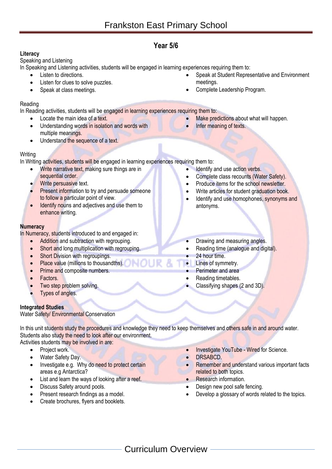# **Year 5/6**

# **Literacy**

# Speaking and Listening

In Speaking and Listening activities, students will be engaged in learning experiences requiring them to:

- Listen to directions.
- Listen for clues to solve puzzles.
- Speak at class meetings.

# Reading

In Reading activities, students will be engaged in learning experiences requiring them to:

- Locate the main idea of a text.
- Understanding words in isolation and words with multiple meanings.
- Understand the sequence of a text.

# Writing

In Writing activities, students will be engaged in learning experiences requiring them to:

- Write narrative text, making sure things are in sequential order.
- Write persuasive text.
- Present information to try and persuade someone to follow a particular point of view.
- Identify nouns and adjectives and use them to enhance writing.

# **Numeracy**

In Numeracy, students introduced to and engaged in:

- Addition and subtraction with regrouping.
- **Short and long multiplication with regrouping.**
- **Short Division with regroupings.**
- **Place value (millions to thousandths).**
- Prime and composite numbers.
- **Factors**
- Two step problem solving.
- Types of angles.

# **Integrated Studies**

Water Safety/ Environmental Conservation

In this unit students study the procedures and knowledge they need to keep themselves and others safe in and around water. Students also study the need to look after our environment.

# Activities students may be involved in are:

- Project work.
- Water Safety Day.
- Investigate e.g. Why do need to protect certain areas e.g Antarctica?
- List and learn the ways of looking after a reef.
- Discuss Safety around pools.
- Present research findings as a model.
- Create brochures, flyers and booklets.
- Investigate YouTube Wired for Science.
- DRSABCD.
- Remember and understand various important facts related to both topics.
- Research information.
- Design new pool safe fencing.
- Develop a glossary of words related to the topics.
- Speak at Student Representative and Environment meetings.
- Complete Leadership Program.
- Make predictions about what will happen.
- Infer meaning of texts.
- Identify and use action verbs.
	- Complete class recounts (Water Safety).
	- Produce items for the school newsletter.
	- Write articles for student graduation book.
	- Identify and use homophones, synonyms and antonyms.
- Drawing and measuring angles.
- Reading time (analogue and digital).
- 24 hour time.
- Lines of symmetry.
- Perimeter and area
- Reading timetables.
- Classifying shapes (2 and 3D).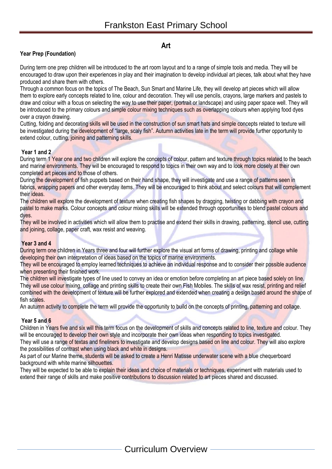# **Art**

# **Year Prep (Foundation)**

During term one prep children will be introduced to the art room layout and to a range of simple tools and media. They will be encouraged to draw upon their experiences in play and their imagination to develop individual art pieces, talk about what they have produced and share them with others.

Through a common focus on the topics of The Beach, Sun Smart and Marine Life, they will develop art pieces which will allow them to explore early concepts related to line, colour and decoration. They will use pencils, crayons, large markers and pastels to draw and colour with a focus on selecting the way to use their paper, (portrait or landscape) and using paper space well. They will be introduced to the primary colours and simple colour mixing techniques such as overlapping colours when applying food dyes over a crayon drawing.

Cutting, folding and decorating skills will be used in the construction of sun smart hats and simple concepts related to texture will be investigated during the development of "large, scaly fish". Autumn activities late in the term will provide further opportunity to extend colour, cutting, joining and patterning skills.

#### **Year 1 and 2**

During term 1 Year one and two children will explore the concepts of colour, pattern and texture through topics related to the beach and marine environments. They will be encouraged to respond to topics in their own way and to look more closely at their own completed art pieces and to those of others.

During the development of fish puppets based on their hand shape, they will investigate and use a range of patterns seen in fabrics, wrapping papers and other everyday items. They will be encouraged to think about and select colours that will complement their ideas.

The children will explore the development of texture when creating fish shapes by dragging, twisting or dabbing with crayon and pastel to make marks. Colour concepts and colour mixing skills will be extended through opportunities to blend pastel colours and dyes.

They will be involved in activities which will allow them to practise and extend their skills in drawing, patterning, stencil use, cutting and joining, collage, paper craft, wax resist and weaving.

#### **Year 3 and 4**

During term one children in Years three and four will further explore the visual art forms of drawing, printing and collage while developing their own interpretation of ideas based on the topics of marine environments.

They will be encouraged to employ learned techniques to achieve an individual response and to consider their possible audience when presenting their finished work.

The children will investigate types of line used to convey an idea or emotion before completing an art piece based solely on line. They will use colour mixing, collage and printing skills to create their own Fish Mobiles. The skills of wax resist, printing and relief combined with the development of texture will be further explored and extended when creating a design based around the shape of fish scales.

An autumn activity to complete the term will provide the opportunity to build on the concepts of printing, patterning and collage.

#### **Year 5 and 6**

Children in Years five and six will this term focus on the development of skills and concepts related to line, texture and colour. They will be encouraged to develop their own style and incorporate their own ideas when responding to topics investigated.

They will use a range of textas and fineliners to investigate and develop designs based on line and colour. They will also explore the possibilities of contrast when using black and white in designs.

As part of our Marine theme, students will be asked to create a Henri Matisse underwater scene with a blue chequerboard background with white marine silhouettes.

They will be expected to be able to explain their ideas and choice of materials or techniques, experiment with materials used to extend their range of skills and make positive contributions to discussion related to art pieces shared and discussed.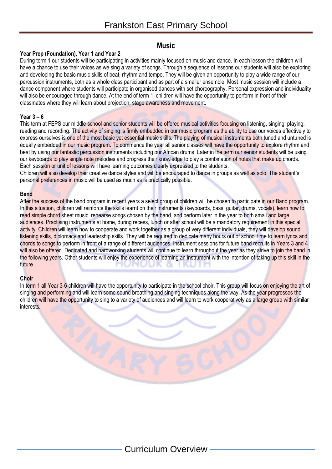# **Music**

# **Year Prep (Foundation), Year 1 and Year 2**

During term 1 our students will be participating in activities mainly focused on music and dance. In each lesson the children will have a chance to use their voices as we sing a variety of songs. Through a sequence of lessons our students will also be exploring and developing the basic music skills of beat, rhythm and tempo. They will be given an opportunity to play a wide range of our percussion instruments, both as a whole class participant and as part of a smaller ensemble. Most music session will include a dance component where students will participate in organised dances with set choreography. Personal expression and individuality will also be encouraged through dance. At the end of term 1, children will have the opportunity to perform in front of their classmates where they will learn about projection, stage awareness and movement.

# **Year 3 – 6**

This term at FEPS our middle school and senior students will be offered musical activities focusing on listening, singing, playing, reading and recording. The activity of singing is firmly embedded in our music program as the ability to use our voices effectively to express ourselves is one of the most basic yet essential music skills. The playing of musical instruments both tuned and untuned is equally embedded in our music program. To commence the year all senior classes will have the opportunity to explore rhythm and beat by using our fantastic percussion instruments including our African drums. Later in the term our senior students will be using our keyboards to play single note melodies and progress their knowledge to play a combination of notes that make up chords. Each session or unit of lessons will have learning outcomes clearly expressed to the students.

Children will also develop their creative dance styles and will be encouraged to dance in groups as well as solo. The student's personal preferences in music will be used as much as is practically possible.

# **Band**

After the success of the band program in recent years a select group of children will be chosen to participate in our Band program. In this situation, children will reinforce the skills learnt on their instruments (keyboards, bass, guitar, drums, vocals), learn how to read simple chord sheet music, rehearse songs chosen by the band, and perform later in the year to both small and large audiences. Practising instruments at home, during recess, lunch or after school will be a mandatory requirement in this special activity. Children will learn how to cooperate and work together as a group of very different individuals, they will develop sound listening skills, diplomacy and leadership skills. They will be required to dedicate many hours out of school time to learn lyrics and chords to songs to perform in front of a range of different audiences. Instrument sessions for future band recruits in Years 3 and 4 will also be offered. Dedicated and hardworking students will continue to learn throughout the year as they strive to join the band in the following years. Other students will enjoy the experience of learning an instrument with the intention of taking up this skill in the future. Ch.

# **Choir**

In term 1 all Year 3-6 children will have the opportunity to participate in the school choir. This group will focus on enjoying the art of singing and performing and will learn some sound breathing and singing techniques along the way. As the year progresses the children will have the opportunity to sing to a variety of audiences and will learn to work cooperatively as a large group with similar interests.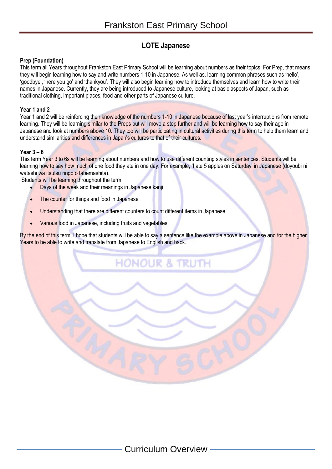# **LOTE Japanese**

# **Prep (Foundation)**

This term all Years throughout Frankston East Primary School will be learning about numbers as their topics. For Prep, that means they will begin learning how to say and write numbers 1-10 in Japanese. As well as, learning common phrases such as 'hello', 'goodbye', 'here you go' and 'thankyou'. They will also begin learning how to introduce themselves and learn how to write their names in Japanese. Currently, they are being introduced to Japanese culture, looking at basic aspects of Japan, such as traditional clothing, important places, food and other parts of Japanese culture.

# **Year 1 and 2**

Year 1 and 2 will be reinforcing their knowledge of the numbers 1-10 in Japanese because of last year's interruptions from remote learning. They will be learning similar to the Preps but will move a step further and will be learning how to say their age in Japanese and look at numbers above 10. They too will be participating in cultural activities during this term to help them learn and understand similarities and differences in Japan's cultures to that of their cultures.

# **Year 3 – 6**

This term Year 3 to 6s will be learning about numbers and how to use different counting styles in sentences. Students will be learning how to say how much of one food they ate in one day. For example, 'I ate 5 apples on Saturday' in Japanese (doyoubi ni watashi wa itsutsu ringo o tabemashita).

Students will be learning throughout the term:

- Days of the week and their meanings in Japanese kanji
- The counter for things and food in Japanese
- Understanding that there are different counters to count different items in Japanese
- Various food in Japanese, including fruits and vegetables

By the end of this term, I hope that students will be able to say a sentence like the example above in Japanese and for the higher Years to be able to write and translate from Japanese to English and back.

**HONOUR & TRUTH**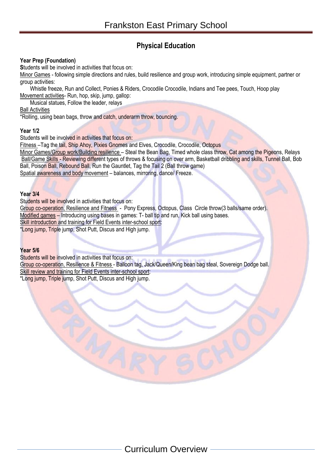# **Physical Education**

# **Year Prep (Foundation)**

**S**tudents will be involved in activities that focus on:

Minor Games - following simple directions and rules, build resilience and group work, introducing simple equipment, partner or group activities:

Whistle freeze, Run and Collect, Ponies & Riders, Crocodile Crocodile, Indians and Tee pees, Touch, Hoop play Movement activities- Run, hop, skip, jump, gallop:

Musical statues, Follow the leader, relays

Ball Activities

\*Rolling, using bean bags, throw and catch, underarm throw, bouncing.

#### **Year 1/2**

Students will be involved in activities that focus on:

Fitness –Tag the tail, Ship Ahoy, Pixies Gnomes and Elves, Crocodile, Crocodile, Octopus

Minor Games/Group work/Building resilience - Steal the Bean Bag, Timed whole class throw, Cat among the Pigeons, Relays Ball/Game Skills - Reviewing different types of throws & focusing on over arm, Basketball dribbling and skills, Tunnel Ball, Bob Ball, Poison Ball, Rebound Ball, Run the Gauntlet, Tag the Tail 2 (Ball throw game) Spatial awareness and body movement – balances, mirroring, dance/ Freeze.

#### **Year 3/4**

Students will be involved in activities that focus on:

Group co-operation, Resilience and Fitness - Pony Express, Octopus, Class Circle throw(3 balls/same order). Modified games – Introducing using bases in games: T- ball tip and run, Kick ball using bases. Skill introduction and training for Field Events inter-school sport:

\*Long jump, Triple jump, Shot Putt, Discus and High jump.

#### **Year 5/6**

Students will be involved in activities that focus on:

Group co-operation, Resilience & Fitness - Balloon tag, Jack/Queen/King bean bag steal, Sovereign Dodge ball. Skill review and training for Field Events inter-school sport:

\*Long jump, Triple jump, Shot Putt, Discus and High jump.